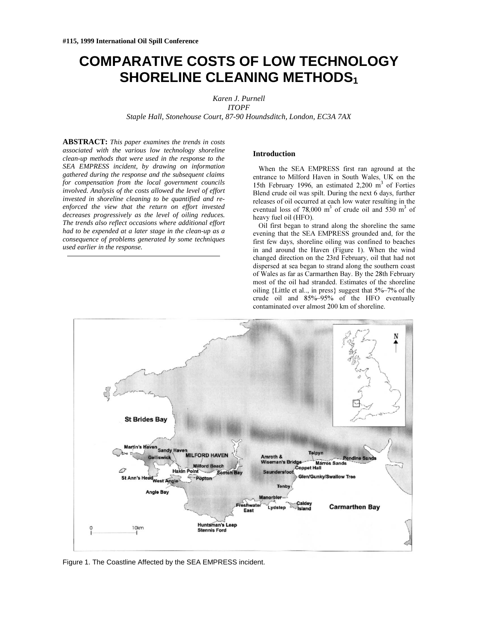# **COMPARATIVE COSTS OF LOW TECHNOLOGY SHORELINE CLEANING METHODS1**

*Karen J. Purnell*

*ITOPF*

*Staple Hall, Stonehouse Court, 87-90 Houndsditch, London, EC3A 7AX*

**ABSTRACT:** *This paper examines the trends in costs associated with the various low technology shoreline clean-up methods that were used in the response to the SEA EMPRESS incident, by drawing on information gathered during the response and the subsequent claims for compensation from the local government councils involved. Analysis of the costs allowed the level of effort invested in shoreline cleaning to be quantified and reenforced the view that the return on effort invested decreases progressively as the level of oiling reduces. The trends also reflect occasions where additional effort had to be expended at a later stage in the clean-up as a consequence of problems generated by some techniques used earlier in the response.*

## **Introduction**

When the SEA EMPRESS first ran aground at the entrance to Milford Haven in South Wales. UK on the 15th February 1996, an estimated  $2,200 \text{ m}^3$  of Forties Blend crude oil was spilt. During the next 6 days, further releases of oil occurred at each low water resulting in the eventual loss of 78,000 m<sup>3</sup> of crude oil and 530 m<sup>3</sup> of heavy fuel oil (HFO).

Oil first began to strand along the shoreline the same evening that the SEA EMPRESS grounded and, for the first few days, shoreline oiling was confined to beaches in and around the Haven (Figure 1). When the wind changed direction on the 23rd February, oil that had not dispersed at sea began to strand along the southern coast of Wales as far as Carmarthen Bay. By the 28th February most of the oil had stranded. Estimates of the shoreline oiling {Little et al..., in press} suggest that  $5\%$ –7% of the crude oil and 85%-95% of the HFO eventually contaminated over almost 200 km of shoreline.



Figure 1. The Coastline Affected by the SEA EMPRESS incident.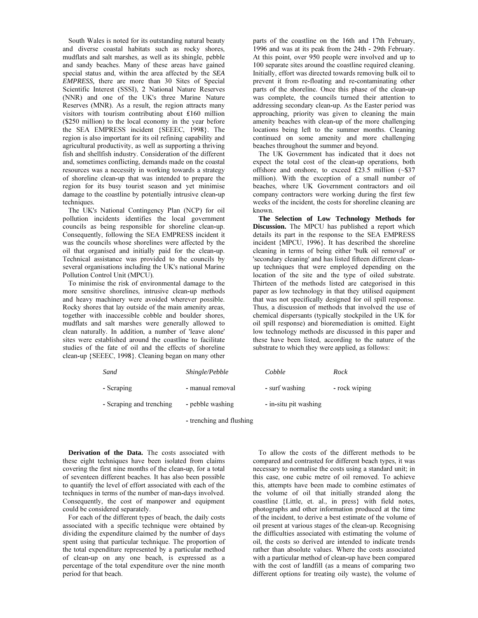South Wales is noted for its outstanding natural beauty and diverse coastal habitats such as rocky shores, mudflats and salt marshes, as well as its shingle, pebble and sandy beaches. Many of these areas have gained special status and, within the area affected by the SEA EMPRESS, there are more than 30 Sites of Special Scientific Interest (SSSI), 2 National Nature Reserves (NNR) and one of the UK's three Marine Nature Reserves (MNR). As a result, the region attracts many visitors with tourism contributing about £160 million (\$250 million) to the local economy in the year before the SEA EMPRESS incident {SEEEC, 1998}. The region is also important for its oil refining capability and agricultural productivity, as well as supporting a thriving fish and shellfish industry. Consideration of the different and, sometimes conflicting, demands made on the coastal resources was a necessity in working towards a strategy of shoreline clean-up that was intended to prepare the region for its busy tourist season and yet minimise damage to the coastline by potentially intrusive clean-up techniques.

The UK's National Contingency Plan (NCP) for oil pollution incidents identifies the local government councils as being responsible for shoreline clean-up. Consequently, following the SEA EMPRESS incident it was the councils whose shorelines were affected by the oil that organised and initially paid for the clean-up. Technical assistance was provided to the councils by several organisations including the UK's national Marine Pollution Control Unit (MPCU).

To minimise the risk of environmental damage to the more sensitive shorelines, intrusive clean-up methods and heavy machinery were avoided wherever possible. Rocky shores that lay outside of the main amenity areas, together with inaccessible cobble and boulder shores, mudflats and salt marshes were generally allowed to clean naturally. In addition, a number of 'leave alone' sites were established around the coastline to facilitate studies of the fate of oil and the effects of shoreline clean-up {SEEEC, 1998}. Cleaning began on many other

parts of the coastline on the 16th and 17th February, 1996 and was at its peak from the 24th - 29th February. At this point, over 950 people were involved and up to 100 separate sites around the coastline required cleaning. Initially, effort was directed towards removing bulk oil to prevent it from re-floating and re-contaminating other parts of the shoreline. Once this phase of the clean-up was complete, the councils turned their attention to addressing secondary clean-up. As the Easter period was approaching, priority was given to cleaning the main amenity beaches with clean-up of the more challenging locations being left to the summer months. Cleaning continued on some amenity and more challenging beaches throughout the summer and beyond.

The UK Government has indicated that it does not expect the total cost of the clean-up operations, both offshore and onshore, to exceed £23.5 million  $(-\$37)$ million). With the exception of a small number of beaches, where UK Government contractors and oil company contractors were working during the first few weeks of the incident, the costs for shoreline cleaning are known.

The Selection of Low Technology Methods for **Discussion.** The MPCU has published a report which details its part in the response to the SEA EMPRESS incident {MPCU, 1996}. It has described the shoreline cleaning in terms of being either 'bulk oil removal' or 'secondary cleaning' and has listed fifteen different cleanup techniques that were employed depending on the location of the site and the type of oiled substrate. Thirteen of the methods listed are categorised in this paper as low technology in that they utilised equipment that was not specifically designed for oil spill response. Thus, a discussion of methods that involved the use of chemical dispersants (typically stockpiled in the UK for oil spill response) and bioremediation is omitted. Eight low technology methods are discussed in this paper and these have been listed, according to the nature of the substrate to which they were applied, as follows:

| Sand                     | Shingle/Pebble   | Cobble                | Rock          |
|--------------------------|------------------|-----------------------|---------------|
| - Scraping               | - manual removal | - surf washing        | - rock wiping |
| - Scraping and trenching | - pebble washing | - in-situ pit washing |               |

- trenching and flushing

Derivation of the Data. The costs associated with these eight techniques have been isolated from claims covering the first nine months of the clean-up, for a total of seventeen different beaches. It has also been possible to quantify the level of effort associated with each of the techniques in terms of the number of man-days involved. Consequently, the cost of manpower and equipment could be considered separately.

For each of the different types of beach, the daily costs associated with a specific technique were obtained by dividing the expenditure claimed by the number of days spent using that particular technique. The proportion of the total expenditure represented by a particular method of clean-up on any one beach, is expressed as a percentage of the total expenditure over the nine month period for that beach.

To allow the costs of the different methods to be compared and contrasted for different beach types, it was necessary to normalise the costs using a standard unit; in this case, one cubic metre of oil removed. To achieve this, attempts have been made to combine estimates of the volume of oil that initially stranded along the coastline {Little, et. al., in press} with field notes, photographs and other information produced at the time of the incident, to derive a best estimate of the volume of oil present at various stages of the clean-up. Recognising the difficulties associated with estimating the volume of oil, the costs so derived are intended to indicate trends rather than absolute values. Where the costs associated with a particular method of clean-up have been compared with the cost of landfill (as a means of comparing two different options for treating oily waste), the volume of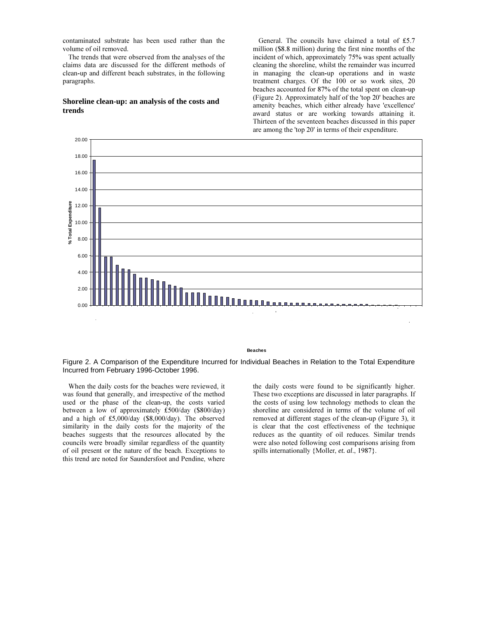contaminated substrate has been used rather than the volume of oil removed.

The trends that were observed from the analyses of the claims data are discussed for the different methods of clean-up and different beach substrates, in the following paragraphs.

## Shoreline clean-up: an analysis of the costs and trends

General. The councils have claimed a total of £5.7 million (\$8.8 million) during the first nine months of the incident of which, approximately 75% was spent actually cleaning the shoreline, whilst the remainder was incurred in managing the clean-up operations and in waste treatment charges. Of the 100 or so work sites, 20 beaches accounted for 87% of the total spent on clean-up (Figure 2). Approximately half of the 'top 20' beaches are amenity beaches, which either already have 'excellence' award status or are working towards attaining it. Thirteen of the seventeen beaches discussed in this paper are among the 'top 20' in terms of their expenditure.



**Beaches** 

Figure 2. A Comparison of the Expenditure Incurred for Individual Beaches in Relation to the Total Expenditure Incurred from February 1996-October 1996.

When the daily costs for the beaches were reviewed, it was found that generally, and irrespective of the method used or the phase of the clean-up, the costs varied between a low of approximately £500/day (\$800/day) and a high of £5,000/day (\$8,000/day). The observed similarity in the daily costs for the majority of the beaches suggests that the resources allocated by the councils were broadly similar regardless of the quantity of oil present or the nature of the beach. Exceptions to this trend are noted for Saundersfoot and Pendine, where the daily costs were found to be significantly higher. These two exceptions are discussed in later paragraphs. If the costs of using low technology methods to clean the shoreline are considered in terms of the volume of oil removed at different stages of the clean-up (Figure 3), it is clear that the cost effectiveness of the technique reduces as the quantity of oil reduces. Similar trends were also noted following cost comparisons arising from spills internationally {Moller, et. al., 1987}.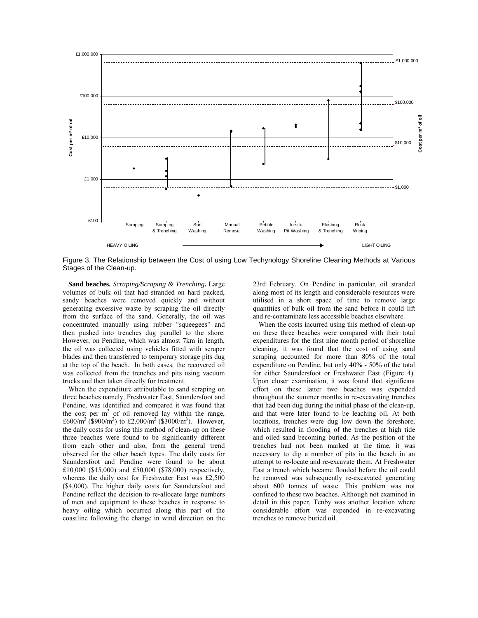

Figure 3. The Relationship between the Cost of using Low Techynology Shoreline Cleaning Methods at Various Stages of the Clean-up.

Sand beaches. *Scraping/Scraping & Trenching*. Large volumes of bulk oil that had stranded on hard packed, sandy beaches were removed quickly and without generating excessive waste by scraping the oil directly from the surface of the sand. Generally, the oil was concentrated manually using rubber "squeegees" and then pushed into trenches dug parallel to the shore. However, on Pendine, which was almost 7km in length, the oil was collected using vehicles fitted with scraper blades and then transferred to temporary storage pits dug at the top of the beach. In both cases, the recovered oil was collected from the trenches and pits using vacuum trucks and then taken directly for treatment.

When the expenditure attributable to sand scraping on three beaches namely, Freshwater East, Saundersfoot and Pendine, was identified and compared it was found that the cost per  $m<sup>3</sup>$  of oil removed lay within the range, £600/m<sup>3</sup> (\$900/m<sup>3</sup>) to £2,000/m<sup>3</sup> (\$3000/m<sup>3</sup>). However, the daily costs for using this method of clean-up on these three beaches were found to be significantly different from each other and also, from the general trend observed for the other beach types. The daily costs for Saundersfoot and Pendine were found to be about £10,000 (\$15,000) and £50,000 (\$78,000) respectively, whereas the daily cost for Freshwater East was  $£2.500$  $$4,000$ ). The higher daily costs for Saundersfoot and Pendine reflect the decision to re-allocate large numbers of men and equipment to these beaches in response to heavy oiling which occurred along this part of the coastline following the change in wind direction on the 23rd February. On Pendine in particular, oil stranded along most of its length and considerable resources were utilised in a short space of time to remove large quantities of bulk oil from the sand before it could lift and re-contaminate less accessible beaches elsewhere.

When the costs incurred using this method of clean-up on these three beaches were compared with their total expenditures for the first nine month period of shoreline cleaning, it was found that the cost of using sand scraping accounted for more than 80% of the total expenditure on Pendine, but only  $40\%$  - 50% of the total for either Saundersfoot or Freshwater East (Figure 4). Upon closer examination, it was found that significant effort on these latter two beaches was expended throughout the summer months in re-excavating trenches that had been dug during the initial phase of the clean-up, and that were later found to be leaching oil. At both locations, trenches were dug low down the foreshore, which resulted in flooding of the trenches at high tide and oiled sand becoming buried. As the position of the trenches had not been marked at the time, it was necessary to dig a number of pits in the beach in an attempt to re-locate and re-excavate them. At Freshwater East a trench which became flooded before the oil could be removed was subsequently re-excavated generating about 600 tonnes of waste. This problem was not confined to these two beaches. Although not examined in detail in this paper, Tenby was another location where considerable effort was expended in re-excavating trenches to remove buried oil.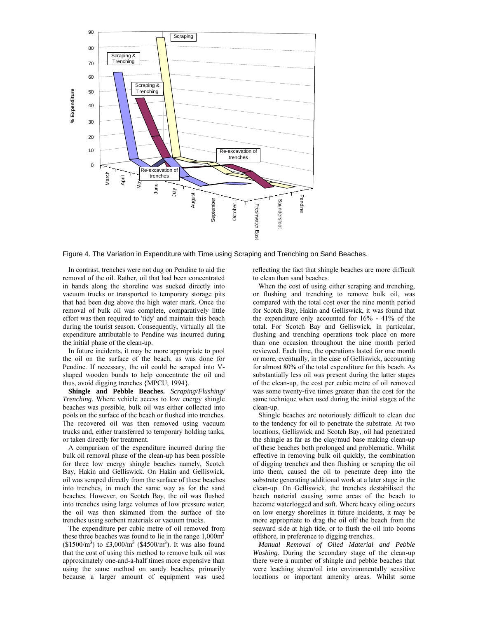

Figure 4. The Variation in Expenditure with Time using Scraping and Trenching on Sand Beaches.

In contrast, trenches were not dug on Pendine to aid the removal of the oil. Rather, oil that had been concentrated in bands along the shoreline was sucked directly into vacuum trucks or transported to temporary storage pits that had been dug above the high water mark. Once the removal of bulk oil was complete, comparatively little effort was then required to 'tidy' and maintain this beach during the tourist season. Consequently, virtually all the expenditure attributable to Pendine was incurred during the initial phase of the clean-up.

In future incidents, it may be more appropriate to pool the oil on the surface of the beach, as was done for Pendine. If necessary, the oil could be scraped into Vshaped wooden bunds to help concentrate the oil and thus, avoid digging trenches {MPCU, 1994}.

**Shingle and Pebble Beaches.** *Scraping/Flushing/ Trenching*. Where vehicle access to low energy shingle beaches was possible, bulk oil was either collected into pools on the surface of the beach or flushed into trenches. The recovered oil was then removed using vacuum trucks and, either transferred to temporary holding tanks, or taken directly for treatment.

A comparison of the expenditure incurred during the bulk oil removal phase of the clean-up has been possible for three low energy shingle beaches namely, Scotch Bay, Hakin and Gelliswick. On Hakin and Gelliswick, oil was scraped directly from the surface of these beaches into trenches, in much the same way as for the sand beaches. However, on Scotch Bay, the oil was flushed into trenches using large volumes of low pressure water; the oil was then skimmed from the surface of the trenches using sorbent materials or vacuum trucks.

The expenditure per cubic metre of oil removed from these three beaches was found to lie in the range  $1,000\text{m}^3$  $(\$1500/m^3)$  to £3,000/m<sup>3</sup> (\$4500/m<sup>3</sup>). It was also found that the cost of using this method to remove bulk oil was approximately one-and-a-half times more expensive than using the same method on sandy beaches, primarily because a larger amount of equipment was used

reflecting the fact that shingle beaches are more difficult to clean than sand beaches.

When the cost of using either scraping and trenching, or flushing and trenching to remove bulk oil, was compared with the total cost over the nine month period for Scotch Bay, Hakin and Gelliswick, it was found that the expenditure only accounted for  $16\%$  -  $41\%$  of the total. For Scotch Bay and Gelliswick, in particular, flushing and trenching operations took place on more than one occasion throughout the nine month period reviewed. Each time, the operations lasted for one month or more, eventually, in the case of Gelliswick, accounting for almost 80% of the total expenditure for this beach. As substantially less oil was present during the latter stages of the clean-up, the cost per cubic metre of oil removed was some twenty-five times greater than the cost for the same technique when used during the initial stages of the clean-up.

Shingle beaches are notoriously difficult to clean due to the tendency for oil to penetrate the substrate. At two locations, Gelliswick and Scotch Bay, oil had penetrated the shingle as far as the clay/mud base making clean-up of these beaches both prolonged and problematic. Whilst effective in removing bulk oil quickly, the combination of digging trenches and then flushing or scraping the oil into them, caused the oil to penetrate deep into the substrate generating additional work at a later stage in the clean-up. On Gelliswick, the trenches destabilised the beach material causing some areas of the beach to become waterlogged and soft. Where heavy oiling occurs on low energy shorelines in future incidents, it may be more appropriate to drag the oil off the beach from the seaward side at high tide, or to flush the oil into booms offshore, in preference to digging trenches.

*Manual Removal of Oiled Material and Pebble Washing.* During the secondary stage of the clean-up there were a number of shingle and pebble beaches that were leaching sheen/oil into environmentally sensitive locations or important amenity areas. Whilst some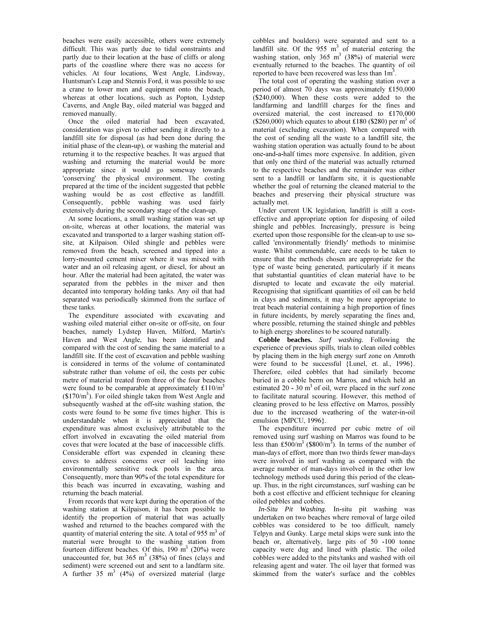beaches were easily accessible, others were extremely difficult. This was partly due to tidal constraints and partly due to their location at the base of cliffs or along parts of the coastline where there was no access for vehicles. At four locations, West Angle, Lindsway, Huntsman's Leap and Stennis Ford, it was possible to use a crane to lower men and equipment onto the beach, whereas at other locations, such as Popton, Lydstep Caverns, and Angle Bay, oiled material was bagged and removed manually.

Once the oiled material had been excavated. consideration was given to either sending it directly to a landfill site for disposal (as had been done during the initial phase of the clean-up), or washing the material and returning it to the respective beaches. It was argued that washing and returning the material would be more appropriate since it would go someway towards 'conserving' the physical environment. The costing prepared at the time of the incident suggested that pebble washing would be as cost effective as landfill. Consequently, pebble washing was used fairly extensively during the secondary stage of the clean-up.

At some locations, a small washing station was set up on-site, whereas at other locations, the material was excavated and transported to a larger washing station offsite, at Kilpaison. Oiled shingle and pebbles were removed from the beach, screened and tipped into a lorry-mounted cement mixer where it was mixed with water and an oil releasing agent, or diesel, for about an hour. After the material had been agitated, the water was separated from the pebbles in the mixer and then decanted into temporary holding tanks. Any oil that had separated was periodically skimmed from the surface of these tanks.

The expenditure associated with excavating and washing oiled material either on-site or off-site, on four beaches, namely Lydstep Haven, Milford, Martin's Haven and West Angle, has been identified and compared with the cost of sending the same material to a landfill site. If the cost of excavation and pebble washing is considered in terms of the volume of contaminated substrate rather than volume of oil, the costs per cubic metre of material treated from three of the four beaches were found to be comparable at approximately  $£110/m<sup>3</sup>$  $($170/m^3)$ . For oiled shingle taken from West Angle and subsequently washed at the off-site washing station, the costs were found to be some five times higher. This is understandable when it is appreciated that the expenditure was almost exclusively attributable to the effort involved in excavating the oiled material from coves that were located at the base of inaccessible cliffs. Considerable effort was expended in cleaning these coves to address concerns over oil leaching into environmentally sensitive rock pools in the area. Consequently, more than 90% of the total expenditure for this beach was incurred in excavating, washing and returning the beach material.

From records that were kept during the operation of the washing station at Kilpaison, it has been possible to identify the proportion of material that was actually washed and returned to the beaches compared with the quantity of material entering the site. A total of  $955 \text{ m}^3$  of material were brought to the washing station from fourteen different beaches. Of this,  $190 \text{ m}^3$  (20%) were unaccounted for, but  $365 \text{ m}^3$  (38%) of fines (clays and sediment) were screened out and sent to a landfarm site. A further  $35 \text{ m}^3$  (4%) of oversized material (large

cobbles and boulders) were separated and sent to a landfill site. Of the  $955 \text{ m}^3$  of material entering the washing station, only  $365 \text{ m}^3$  (38%) of material were eventually returned to the beaches. The quantity of oil reported to have been recovered was less than 1m<sup>3</sup>.

The total cost of operating the washing station over a period of almost 70 days was approximately £150,000 (\$240,000). When these costs were added to the landfarming and landfill charges for the fines and oversized material, the cost increased to £170,000 (\$260,000) which equates to about £180 (\$280) per m<sup>3</sup> of material (excluding excavation). When compared with the cost of sending all the waste to a landfill site, the washing station operation was actually found to be about one-and-a-half times more expensive. In addition, given that only one third of the material was actually returned to the respective beaches and the remainder was either sent to a landfill or landfarm site, it is questionable whether the goal of returning the cleaned material to the beaches and preserving their physical structure was actually met.

Under current UK legislation, landfill is still a costeffective and appropriate option for disposing of oiled shingle and pebbles. Increasingly, pressure is being exerted upon those responsible for the clean-up to use socalled 'environmentally friendly' methods to minimise waste. Whilst commendable, care needs to be taken to ensure that the methods chosen are appropriate for the type of waste being generated, particularly if it means that substantial quantities of clean material have to be disrupted to locate and excavate the oily material. Recognising that significant quantities of oil can be held in clays and sediments, it may be more appropriate to treat beach material containing a high proportion of fines in future incidents, by merely separating the fines and, where possible, returning the stained shingle and pebbles to high energy shorelines to be scoured naturally.

Cobble beaches. Surf washing. Following the experience of previous spills, trials to clean oiled cobbles by placing them in the high energy surf zone on Amroth were found to be successful {Lunel, et. al., 1996}. Therefore, oiled cobbles that had similarly become buried in a cobble berm on Marros, and which held an estimated 20 - 30  $m<sup>3</sup>$  of oil, were placed in the surf zone to facilitate natural scouring. However, this method of cleaning proved to be less effective on Marros, possibly due to the increased weathering of the water-in-oil emulsion {MPCU, 1996}.

The expenditure incurred per cubic metre of oil removed using surf washing on Marros was found to be less than £500/m<sup>3</sup> (\$800/m<sup>3</sup>). In terms of the number of man-days of effort, more than two thirds fewer man-days were involved in surf washing as compared with the average number of man-days involved in the other low technology methods used during this period of the cleanup. Thus, in the right circumstances, surf washing can be both a cost effective and efficient technique for cleaning oiled pebbles and cobbes.

In-Situ Pit Washing. In-situ pit washing was undertaken on two beaches where removal of large oiled cobbles was considered to be too difficult, namely Telpyn and Gunky. Large metal skips were sunk into the beach or, alternatively, large pits of 50 -100 tonne capacity were dug and lined with plastic. The oiled cobbles were added to the pits/tanks and washed with oil releasing agent and water. The oil layer that formed was skimmed from the water's surface and the cobbles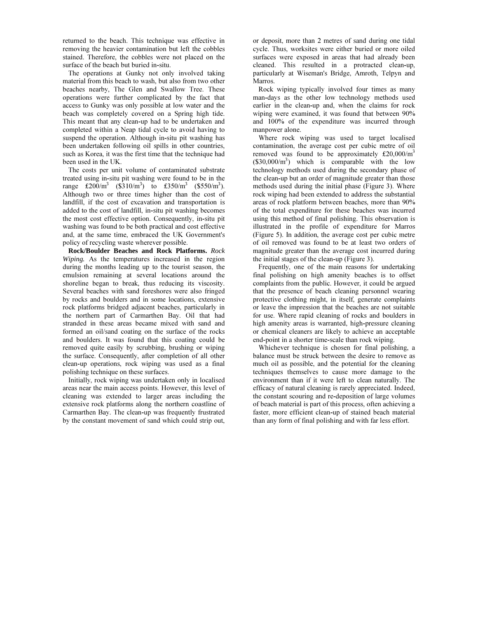returned to the beach. This technique was effective in removing the heavier contamination but left the cobbles stained. Therefore, the cobbles were not placed on the surface of the beach but buried in-situ.

The operations at Gunky not only involved taking material from this beach to wash, but also from two other beaches nearby, The Glen and Swallow Tree. These operations were further complicated by the fact that access to Gunky was only possible at low water and the beach was completely covered on a Spring high tide. This meant that any clean-up had to be undertaken and completed within a Neap tidal cycle to avoid having to suspend the operation. Although in-situ pit washing has been undertaken following oil spills in other countries, such as Korea, it was the first time that the technique had been used in the UK.

The costs per unit volume of contaminated substrate treated using in-situ pit washing were found to be in the range  $\text{\pounds}200/m^3$  (\$310/m<sup>3</sup>) to  $\text{\pounds}350/m^3$  (\$550/m<sup>3</sup>). Although two or three times higher than the cost of landfill, if the cost of excavation and transportation is added to the cost of landfill, in-situ pit washing becomes the most cost effective option. Consequently, in-situ pit washing was found to be both practical and cost effective and, at the same time, embraced the UK Government's policy of recycling waste wherever possible.

Rock/Boulder Beaches and Rock Platforms. Rock *Wiping*. As the temperatures increased in the region during the months leading up to the tourist season, the emulsion remaining at several locations around the shoreline began to break, thus reducing its viscosity. Several beaches with sand foreshores were also fringed by rocks and boulders and in some locations, extensive rock platforms bridged adjacent beaches, particularly in the northern part of Carmarthen Bay. Oil that had stranded in these areas became mixed with sand and formed an oil/sand coating on the surface of the rocks and boulders. It was found that this coating could be removed quite easily by scrubbing, brushing or wiping the surface. Consequently, after completion of all other clean-up operations, rock wiping was used as a final polishing technique on these surfaces.

Initially, rock wiping was undertaken only in localised areas near the main access points. However, this level of cleaning was extended to larger areas including the extensive rock platforms along the northern coastline of Carmarthen Bay. The clean-up was frequently frustrated by the constant movement of sand which could strip out,

or deposit, more than 2 metres of sand during one tidal cycle. Thus, worksites were either buried or more oiled surfaces were exposed in areas that had already been cleaned. This resulted in a protracted clean-up, particularly at Wiseman's Bridge, Amroth, Telpyn and Marros.

Rock wiping typically involved four times as many man-days as the other low technology methods used earlier in the clean-up and, when the claims for rock wiping were examined, it was found that between 90% and 100% of the expenditure was incurred through manpower alone.

Where rock wiping was used to target localised contamination, the average cost per cubic metre of oil removed was found to be approximately  $£20,000/m<sup>3</sup>$  $($30,000/m<sup>3</sup>)$  which is comparable with the low technology methods used during the secondary phase of the clean-up but an order of magnitude greater than those methods used during the initial phase (Figure 3). Where rock wiping had been extended to address the substantial areas of rock platform between beaches, more than 90% of the total expenditure for these beaches was incurred using this method of final polishing. This observation is illustrated in the profile of expenditure for Marros (Figure 5). In addition, the average cost per cubic metre of oil removed was found to be at least two orders of magnitude greater than the average cost incurred during the initial stages of the clean-up (Figure 3).

Frequently, one of the main reasons for undertaking final polishing on high amenity beaches is to offset complaints from the public. However, it could be argued that the presence of beach cleaning personnel wearing protective clothing might, in itself, generate complaints or leave the impression that the beaches are not suitable for use. Where rapid cleaning of rocks and boulders in high amenity areas is warranted, high-pressure cleaning or chemical cleaners are likely to achieve an acceptable end-point in a shorter time-scale than rock wiping.

Whichever technique is chosen for final polishing, a balance must be struck between the desire to remove as much oil as possible, and the potential for the cleaning techniques themselves to cause more damage to the environment than if it were left to clean naturally. The efficacy of natural cleaning is rarely appreciated. Indeed, the constant scouring and re-deposition of large volumes of beach material is part of this process, often achieving a faster, more efficient clean-up of stained beach material than any form of final polishing and with far less effort.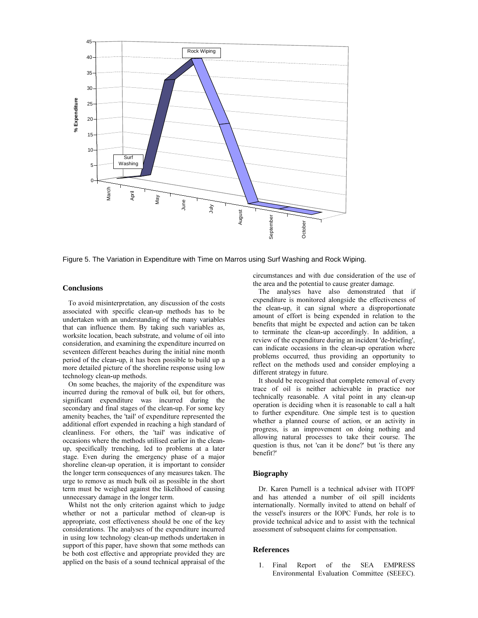

Figure 5. The Variation in Expenditure with Time on Marros using Surf Washing and Rock Wiping.

# **Conclusions**

To avoid misinterpretation, any discussion of the costs associated with specific clean-up methods has to be undertaken with an understanding of the many variables that can influence them. By taking such variables as, worksite location, beach substrate, and volume of oil into consideration, and examining the expenditure incurred on seventeen different beaches during the initial nine month period of the clean-up, it has been possible to build up a more detailed picture of the shoreline response using low technology clean-up methods.

On some beaches, the majority of the expenditure was incurred during the removal of bulk oil, but for others. significant expenditure was incurred during the secondary and final stages of the clean-up. For some key amenity beaches, the 'tail' of expenditure represented the additional effort expended in reaching a high standard of cleanliness. For others, the 'tail' was indicative of occasions where the methods utilised earlier in the cleanup, specifically trenching, led to problems at a later stage. Even during the emergency phase of a major shoreline clean-up operation, it is important to consider the longer term consequences of any measures taken. The urge to remove as much bulk oil as possible in the short term must be weighed against the likelihood of causing unnecessary damage in the longer term.

Whilst not the only criterion against which to judge whether or not a particular method of clean-up is appropriate, cost effectiveness should be one of the key considerations. The analyses of the expenditure incurred in using low technology clean-up methods undertaken in support of this paper, have shown that some methods can be both cost effective and appropriate provided they are applied on the basis of a sound technical appraisal of the circumstances and with due consideration of the use of the area and the potential to cause greater damage.

The analyses have also demonstrated that if expenditure is monitored alongside the effectiveness of the clean-up, it can signal where a disproportionate amount of effort is being expended in relation to the benefits that might be expected and action can be taken to terminate the clean-up accordingly. In addition, a review of the expenditure during an incident 'de-briefing'. can indicate occasions in the clean-up operation where problems occurred, thus providing an opportunity to reflect on the methods used and consider employing a different strategy in future.

It should be recognised that complete removal of every trace of oil is neither achievable in practice nor technically reasonable. A vital point in any clean-up operation is deciding when it is reasonable to call a halt to further expenditure. One simple test is to question whether a planned course of action, or an activity in progress, is an improvement on doing nothing and allowing natural processes to take their course. The question is thus, not 'can it be done?' but 'is there any benefit?'

### **Biography**

Dr. Karen Purnell is a technical adviser with ITOPF and has attended a number of oil spill incidents internationally. Normally invited to attend on behalf of the vessel's insurers or the IOPC Funds, her role is to provide technical advice and to assist with the technical assessment of subsequent claims for compensation.

### **References**

SEA EMPRESS Report 1. Final of the Environmental Evaluation Committee (SEEEC).